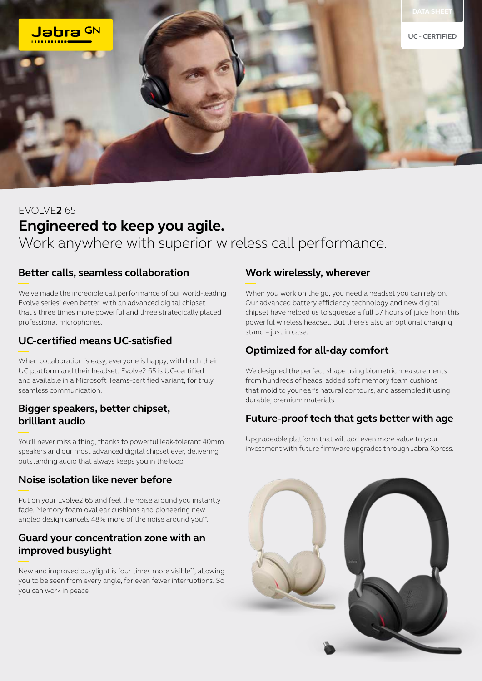

# EVOLVE**2** 65 **Engineered to keep you agile.** Work anywhere with superior wireless call performance.

# **Better calls, seamless collaboration**

We've made the incredible call performance of our world-leading Evolve series\* even better, with an advanced digital chipset that's three times more powerful and three strategically placed professional microphones.

# **UC-certified means UC-satisfied**

When collaboration is easy, everyone is happy, with both their UC platform and their headset. Evolve2 65 is UC-certified and available in a Microsoft Teams-certified variant, for truly seamless communication.

### **Bigger speakers, better chipset, brilliant audio**

You'll never miss a thing, thanks to powerful leak-tolerant 40mm speakers and our most advanced digital chipset ever, delivering outstanding audio that always keeps you in the loop.

#### **Noise isolation like never before**

Put on your Evolve2 65 and feel the noise around you instantly fade. Memory foam oval ear cushions and pioneering new angled design cancels 48% more of the noise around you\*\*.

# **Guard your concentration zone with an improved busylight**

New and improved busylight is four times more visible\*\*, allowing you to be seen from every angle, for even fewer interruptions. So you can work in peace.

#### **Work wirelessly, wherever**

When you work on the go, you need a headset you can rely on. Our advanced battery efficiency technology and new digital chipset have helped us to squeeze a full 37 hours of juice from this powerful wireless headset. But there's also an optional charging stand – just in case.

# **Optimized for all-day comfort**

We designed the perfect shape using biometric measurements from hundreds of heads, added soft memory foam cushions that mold to your ear's natural contours, and assembled it using durable, premium materials.

# **Future-proof tech that gets better with age**

Upgradeable platform that will add even more value to your investment with future firmware upgrades through Jabra Xpress.